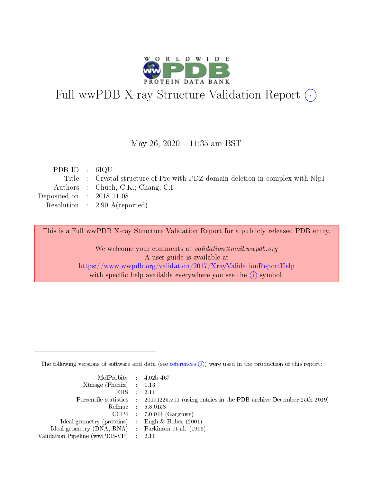

# Full wwPDB X-ray Structure Validation Report (i)

#### May 26,  $2020 - 11:35$  am BST

| PDB ID : $6IQU$             |                                                                                |
|-----------------------------|--------------------------------------------------------------------------------|
|                             | Title : Crystal structure of Prc with PDZ domain deletion in complex with NlpI |
|                             | Authors : Chueh, C.K.; Chang, C.I.                                             |
| Deposited on : $2018-11-08$ |                                                                                |
|                             | Resolution : $2.90 \text{ Å}$ (reported)                                       |
|                             |                                                                                |

This is a Full wwPDB X-ray Structure Validation Report for a publicly released PDB entry.

We welcome your comments at validation@mail.wwpdb.org A user guide is available at <https://www.wwpdb.org/validation/2017/XrayValidationReportHelp> with specific help available everywhere you see the  $(i)$  symbol.

The following versions of software and data (see [references](https://www.wwpdb.org/validation/2017/XrayValidationReportHelp#references)  $(i)$ ) were used in the production of this report:

| $MolProbability$ 4.02b-467                          |                                                                                            |
|-----------------------------------------------------|--------------------------------------------------------------------------------------------|
| Xtriage (Phenix) $: 1.13$                           |                                                                                            |
| $EDS$ :                                             | -2.11                                                                                      |
|                                                     | Percentile statistics : 20191225.v01 (using entries in the PDB archive December 25th 2019) |
|                                                     | Refmac : 5.8.0158                                                                          |
|                                                     | $CCP4$ : 7.0.044 (Gargrove)                                                                |
| Ideal geometry (proteins) : Engh $\&$ Huber (2001)  |                                                                                            |
| Ideal geometry (DNA, RNA) : Parkinson et al. (1996) |                                                                                            |
| Validation Pipeline (wwPDB-VP)                      | -2.11                                                                                      |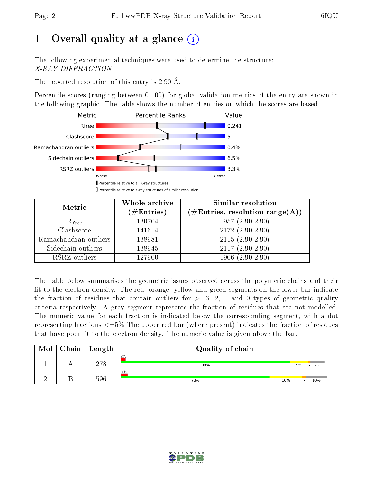# 1 [O](https://www.wwpdb.org/validation/2017/XrayValidationReportHelp#overall_quality)verall quality at a glance  $(i)$

The following experimental techniques were used to determine the structure: X-RAY DIFFRACTION

The reported resolution of this entry is 2.90 Å.

Percentile scores (ranging between 0-100) for global validation metrics of the entry are shown in the following graphic. The table shows the number of entries on which the scores are based.



| Metric                | Whole archive<br>$(\#\mathrm{Entries})$ | Similar resolution<br>$(\#\text{Entries},\,\text{resolution}\,\,\text{range}(\textup{\AA}))$ |  |  |
|-----------------------|-----------------------------------------|----------------------------------------------------------------------------------------------|--|--|
| $R_{free}$            | 130704                                  | $1957(2.90-2.90)$                                                                            |  |  |
| Clashscore            | 141614                                  | $2172(2.90-2.90)$                                                                            |  |  |
| Ramachandran outliers | 138981                                  | $2115(2.90-2.90)$                                                                            |  |  |
| Sidechain outliers    | 138945                                  | $2117(2.90-2.90)$                                                                            |  |  |
| RSRZ outliers         | 127900                                  | $1906(2.90-2.90)$                                                                            |  |  |

The table below summarises the geometric issues observed across the polymeric chains and their fit to the electron density. The red, orange, yellow and green segments on the lower bar indicate the fraction of residues that contain outliers for  $>=3, 2, 1$  and 0 types of geometric quality criteria respectively. A grey segment represents the fraction of residues that are not modelled. The numeric value for each fraction is indicated below the corresponding segment, with a dot representing fractions  $\epsilon=5\%$  The upper red bar (where present) indicates the fraction of residues that have poor fit to the electron density. The numeric value is given above the bar.

| Mol | Chain | $\vert$ Length | Quality of chain |     |    |     |
|-----|-------|----------------|------------------|-----|----|-----|
|     |       | 278            | 2%<br>83%        |     | 9% | 7%  |
|     |       | 596            | 3%<br>73%        | 16% |    | 10% |

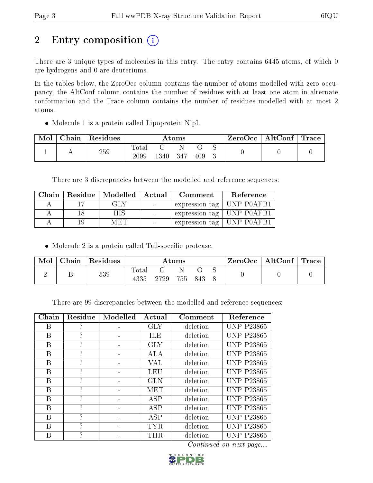# 2 Entry composition (i)

There are 3 unique types of molecules in this entry. The entry contains 6445 atoms, of which 0 are hydrogens and 0 are deuteriums.

In the tables below, the ZeroOcc column contains the number of atoms modelled with zero occupancy, the AltConf column contains the number of residues with at least one atom in alternate conformation and the Trace column contains the number of residues modelled with at most 2 atoms.

Molecule 1 is a protein called Lipoprotein NlpI.

| Mol | Chain | Residues | Atoms                    |      |     | ZeroOcc | $\vert$ AltConf $\vert$ | $\lq$ Trace |  |  |
|-----|-------|----------|--------------------------|------|-----|---------|-------------------------|-------------|--|--|
|     |       | 259      | $\mathrm{Total}$<br>2099 | 1340 | 347 | 409     |                         |             |  |  |

There are 3 discrepancies between the modelled and reference sequences:

| Chain | Residue   Modelled   Actual | Comment                     | Reference |
|-------|-----------------------------|-----------------------------|-----------|
|       | GLY                         | expression tag   UNP P0AFB1 |           |
|       | НIS                         | expression tag   UNP POAFB1 |           |
|       | M ET L                      | expression tag   UNP POAFB1 |           |

• Molecule 2 is a protein called Tail-specific protease.

| Mol | Chain   Residues | Atoms                  |       |         | ZeroOcc   AltConf   Trace |  |  |  |
|-----|------------------|------------------------|-------|---------|---------------------------|--|--|--|
|     | 539              | $_{\rm Total}$<br>4335 | -2729 | 755 843 |                           |  |  |  |

There are 99 discrepancies between the modelled and reference sequences:

| Chain | Residue       | Modelled | Actual     | Comment  | Reference         |
|-------|---------------|----------|------------|----------|-------------------|
| В     | 7             |          | <b>GLY</b> | deletion | <b>UNP P23865</b> |
| B     | 7             |          | ILE        | deletion | <b>UNP P23865</b> |
| В     | 7             |          | <b>GLY</b> | deletion | <b>UNP P23865</b> |
| В     | 7             |          | ALA        | deletion | <b>UNP P23865</b> |
| В     | 7             |          | VAL        | deletion | <b>UNP P23865</b> |
| B     | $\mathcal{P}$ |          | LEU        | deletion | <b>UNP P23865</b> |
| В     | 7             |          | GLN        | deletion | <b>UNP P23865</b> |
| В     | 7             |          | MET        | deletion | <b>UNP P23865</b> |
| B     | 7             |          | ASP        | deletion | <b>UNP P23865</b> |
| В     | 7             |          | ASP        | deletion | <b>UNP P23865</b> |
| В     | 7             |          | ASP        | deletion | <b>UNP P23865</b> |
| В     | 7             |          | <b>TYR</b> | deletion | <b>UNP P23865</b> |
| В     | 9             |          | THR        | deletion | <b>UNP P23865</b> |

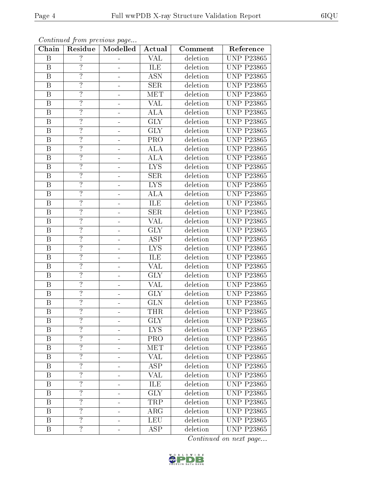|                         |                    | Continued from previous page |                         |          |                         |
|-------------------------|--------------------|------------------------------|-------------------------|----------|-------------------------|
| Chain                   | Residue            | Modelled                     | Actual                  | Comment  | Reference               |
| $\boldsymbol{B}$        | $\overline{?}$     |                              | <b>VAL</b>              | deletion | <b>UNP P23865</b>       |
| $\, {\bf B}$            | $\overline{?}$     | $\blacksquare$               | <b>ILE</b>              | deletion | <b>UNP P23865</b>       |
| $\overline{\mathrm{B}}$ | $\overline{?}$     | 4                            | <b>ASN</b>              | deletion | <b>UNP P23865</b>       |
| $\, {\bf B}$            | $\overline{?}$     |                              | <b>SER</b>              | deletion | <b>UNP P23865</b>       |
| $\overline{\mathrm{B}}$ | $\overline{?}$     |                              | <b>MET</b>              | deletion | <b>UNP P23865</b>       |
| $\overline{B}$          | $\overline{?}$     |                              | <b>VAL</b>              | deletion | <b>UNP P23865</b>       |
| $\, {\bf B}$            | $\overline{\cdot}$ |                              | <b>ALA</b>              | deletion | <b>UNP P23865</b>       |
| $\overline{B}$          | $\overline{?}$     |                              | GLY                     | deletion | <b>UNP P23865</b>       |
| $\mathbf B$             | $\overline{?}$     | $\equiv$                     | <b>GLY</b>              | deletion | <b>UNP P23865</b>       |
| $\overline{\mathrm{B}}$ | $\overline{?}$     | -                            | $\overline{\text{PRO}}$ | deletion | <b>UNP P23865</b>       |
| $\, {\bf B}$            | $\overline{\cdot}$ | $\blacksquare$               | <b>ALA</b>              | deletion | <b>UNP P23865</b>       |
| $\overline{\mathrm{B}}$ | $\overline{?}$     |                              | $\overline{ALA}$        | deletion | <b>UNP P23865</b>       |
| $\, {\bf B}$            | $\overline{?}$     |                              | <b>LYS</b>              | deletion | <b>UNP P23865</b>       |
| $\overline{B}$          | $\overline{?}$     |                              | <b>SER</b>              | deletion | <b>UNP P23865</b>       |
| $\overline{\mathbf{B}}$ | $\overline{?}$     | -                            | <b>LYS</b>              | deletion | <b>UNP P23865</b>       |
| $\overline{\mathrm{B}}$ | $\overline{?}$     |                              | $\overline{ALA}$        | deletion | <b>UNP P23865</b>       |
| $\overline{\mathrm{B}}$ | $\overline{?}$     | ÷                            | ILE                     | deletion | <b>UNP P23865</b>       |
| $\mathbf B$             | $\overline{?}$     | ÷,                           | SER                     | deletion | <b>UNP P23865</b>       |
| $\boldsymbol{B}$        | $\overline{?}$     | $\overline{\phantom{0}}$     | <b>VAL</b>              | deletion | <b>UNP P23865</b>       |
| $\overline{B}$          | $\overline{?}$     | ÷                            | <b>GLY</b>              | deletion | <b>UNP P23865</b>       |
| $\, {\bf B}$            | $\overline{?}$     | -                            | <b>ASP</b>              | deletion | <b>UNP P23865</b>       |
| $\overline{\mathrm{B}}$ | $\overline{?}$     |                              | <b>LYS</b>              | deletion | <b>UNP P23865</b>       |
| $\, {\bf B}$            | $\overline{?}$     |                              | ILE                     | deletion | <b>UNP P23865</b>       |
| $\overline{\mathrm{B}}$ | $\overline{?}$     |                              | <b>VAL</b>              | deletion | <b>UNP P23865</b>       |
| $\overline{B}$          | $\overline{?}$     |                              | <b>GLY</b>              | deletion | <b>UNP P23865</b>       |
| $\boldsymbol{B}$        | $\overline{\cdot}$ |                              | <b>VAL</b>              | deletion | <b>UNP P23865</b>       |
| $\overline{B}$          | $\overline{?}$     | -                            | $\overline{\text{GLY}}$ | deletion | <b>UNP P23865</b>       |
| $\overline{B}$          | $\overline{?}$     | $\blacksquare$               | <b>GLN</b>              | deletion | <b>UNP P23865</b>       |
| $\overline{\mathbf{B}}$ | $\overline{?}$     |                              | <b>THR</b>              | deletion | <b>UNP P23865</b>       |
| Β                       | $\overline{\cdot}$ |                              | <b>GLY</b>              | deletion | <b>UNP P23865</b>       |
| $\, {\bf B}$            | $\overline{?}$     |                              | <b>LYS</b>              | deletion | <b>UNP P23865</b>       |
| $\boldsymbol{B}$        | $\overline{?}$     |                              | <b>PRO</b>              | deletion | <b>UNP P23865</b>       |
| $\mathbf{B}$            | $\overline{?}$     |                              | MET                     | deletion | <b>UNP P23865</b>       |
| $\boldsymbol{B}$        | $\overline{?}$     | -                            | $\overline{\text{VAL}}$ | deletion | <b>UNP P23865</b>       |
| $\boldsymbol{B}$        | $\overline{?}$     |                              | <b>ASP</b>              | deletion | <b>UNP P23865</b>       |
| B                       | $\overline{?}$     |                              | VAL                     | deletion | <b>UNP P23865</b>       |
| $\mathbf B$             | $\overline{?}$     | -                            | ILE                     | deletion | <b>UNP P23865</b>       |
| B                       | $\overline{?}$     | -                            | <b>GLY</b>              | deletion | $\overline{UNP}$ P23865 |
| $\mathbf B$             | $\overline{?}$     | 4                            | TRP                     | deletion | <b>UNP P23865</b>       |
| $\, {\bf B}$            | $\overline{?}$     | 4                            | $\rm{ARG}$              | deletion | <b>UNP P23865</b>       |
| $\mathbf{B}$            | $\overline{?}$     |                              | <b>LEU</b>              | deletion | <b>UNP P23865</b>       |
| $\boldsymbol{B}$        | $\overline{?}$     |                              | ASP                     | deletion | <b>UNP P23865</b>       |
|                         |                    |                              |                         |          |                         |

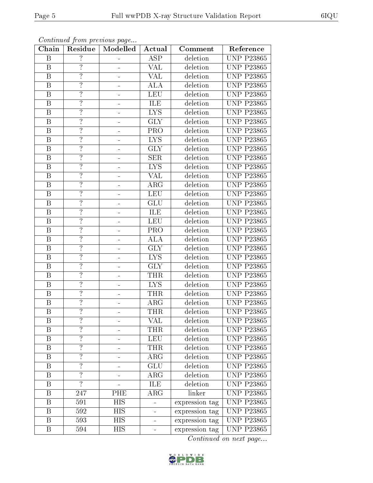|                         |                          | Continued from previous page |                         |                |                   |
|-------------------------|--------------------------|------------------------------|-------------------------|----------------|-------------------|
| Chain                   | Residue                  | Modelled                     | Actual                  | Comment        | Reference         |
| B                       | $\overline{\phantom{a}}$ |                              | <b>ASP</b>              | deletion       | <b>UNP P23865</b> |
| $\, {\bf B}$            | $\overline{?}$           |                              | VAL                     | deletion       | <b>UNP P23865</b> |
| $\overline{B}$          | $\overline{?}$           | $\blacksquare$               | $\overline{\text{VAL}}$ | deletion       | <b>UNP P23865</b> |
| $\mathbf B$             | $\overline{?}$           | $\blacksquare$               | <b>ALA</b>              | deletion       | <b>UNP P23865</b> |
| $\overline{\mathrm{B}}$ | $\overline{?}$           | $\equiv$                     | LEU                     | deletion       | <b>UNP P23865</b> |
| $\boldsymbol{B}$        | $\overline{\cdot}$       | 4                            | ILE                     | deletion       | <b>UNP P23865</b> |
| $\, {\bf B}$            | $\overline{\cdot}$       |                              | <b>LYS</b>              | deletion       | <b>UNP P23865</b> |
| $\overline{B}$          | $\overline{?}$           |                              | <b>GLY</b>              | deletion       | <b>UNP P23865</b> |
| $\, {\bf B}$            | $\overline{?}$           |                              | <b>PRO</b>              | deletion       | <b>UNP P23865</b> |
| $\overline{\mathrm{B}}$ | $\overline{?}$           |                              | <b>LYS</b>              | deletion       | <b>UNP P23865</b> |
| $\, {\bf B}$            | $\overline{?}$           | -                            | <b>GLY</b>              | deletion       | <b>UNP P23865</b> |
| $\overline{\mathrm{B}}$ | $\overline{?}$           |                              | SER                     | deletion       | <b>UNP P23865</b> |
| $\, {\bf B}$            | $\overline{?}$           | -                            | <b>LYS</b>              | deletion       | <b>UNP P23865</b> |
| $\mathbf B$             | $\overline{?}$           | Ξ,                           | <b>VAL</b>              | deletion       | <b>UNP P23865</b> |
| $\, {\bf B}$            | $\overline{?}$           | -                            | ARG                     | deletion       | <b>UNP P23865</b> |
| $\overline{B}$          | $\overline{?}$           |                              | <b>LEU</b>              | deletion       | <b>UNP P23865</b> |
| $\, {\bf B}$            | $\overline{?}$           |                              | <b>GLU</b>              | deletion       | <b>UNP P23865</b> |
| $\, {\bf B}$            | $\overline{\mathcal{L}}$ |                              | ILE                     | deletion       | <b>UNP P23865</b> |
| $\, {\bf B}$            | $\overline{?}$           |                              | <b>LEU</b>              | deletion       | <b>UNP P23865</b> |
| $\overline{B}$          | $\overline{?}$           |                              | PRO                     | deletion       | <b>UNP P23865</b> |
| $\overline{B}$          | $\overline{?}$           |                              | <b>ALA</b>              | deletion       | <b>UNP P23865</b> |
| $\boldsymbol{B}$        | $\overline{?}$           | ÷                            | <b>GLY</b>              | deletion       | <b>UNP P23865</b> |
| $\mathbf B$             | $\overline{?}$           | $\blacksquare$               | <b>LYS</b>              | deletion       | <b>UNP P23865</b> |
| $\overline{\mathrm{B}}$ | $\overline{?}$           | $\blacksquare$               | $\overline{\text{GLY}}$ | deletion       | <b>UNP P23865</b> |
| $\overline{B}$          | $\overline{?}$           |                              | <b>THR</b>              | deletion       | <b>UNP P23865</b> |
| $\, {\bf B}$            | $\overline{\cdot}$       |                              | <b>LYS</b>              | deletion       | <b>UNP P23865</b> |
| $\overline{B}$          | $\overline{?}$           |                              | <b>THR</b>              | deletion       | <b>UNP P23865</b> |
| $\overline{B}$          | $\overline{?}$           | $\blacksquare$               | ARG                     | deletion       | <b>UNP P23865</b> |
| $\overline{\mathbf{B}}$ | $\overline{?}$           |                              | <b>THR</b>              | deletion       | <b>UNP P23865</b> |
| B                       | $\overline{?}$           |                              | VAL                     | deletion       | <b>UNP P23865</b> |
| $\boldsymbol{B}$        | $\overline{?}$           |                              | <b>THR</b>              | deletion       | <b>UNP P23865</b> |
| B                       | $\overline{?}$           |                              | <b>LEU</b>              | deletion       | <b>UNP P23865</b> |
| $\mathbf B$             | $\overline{?}$           |                              | <b>THR</b>              | deletion       | <b>UNP P23865</b> |
| B                       | $\overline{?}$           | $\equiv$                     | ARG                     | deletion       | <b>UNP P23865</b> |
| $\boldsymbol{B}$        | $\overline{?}$           |                              | <b>GLU</b>              | deletion       | <b>UNP P23865</b> |
| B                       | $\overline{?}$           |                              | $\rm{ARG}$              | deletion       | <b>UNP P23865</b> |
| B                       | $\overline{?}$           |                              | ILE                     | deletion       | <b>UNP P23865</b> |
| B                       | 247                      | PHE                          | $\rm{ARG}$              | linker         | <b>UNP P23865</b> |
| $\mathbf B$             | 591                      | <b>HIS</b>                   |                         | expression tag | <b>UNP P23865</b> |
| $\, {\bf B}$            | 592                      | <b>HIS</b>                   |                         | expression tag | <b>UNP P23865</b> |
| B                       | 593                      | HIS                          |                         | expression tag | <b>UNP P23865</b> |
| B                       | 594                      | <b>HIS</b>                   |                         | expression tag | <b>UNP P23865</b> |

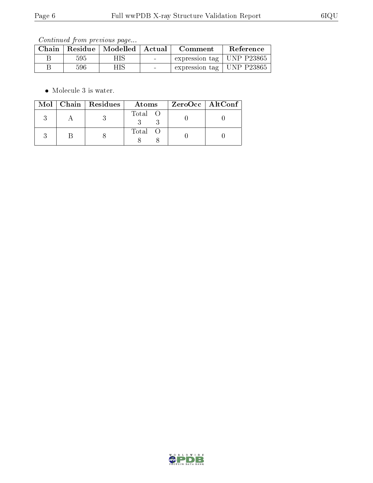Continued from previous page...

| Chain |     | Residue   Modelled   Actual |                                   | Comment                               | Reference |
|-------|-----|-----------------------------|-----------------------------------|---------------------------------------|-----------|
|       | 595 | HIS                         | <b>Contract Contract Contract</b> | $\pm$ expression tag $\pm$ UNP P23865 |           |
|       | 596 | HIS                         | $\sim$                            | expression tag   UNP P23865           |           |

• Molecule 3 is water.

|  | $Mol$   Chain   Residues | Atoms   | ZeroOcc   AltConf |
|--|--------------------------|---------|-------------------|
|  |                          | Total O |                   |
|  |                          | Total O |                   |

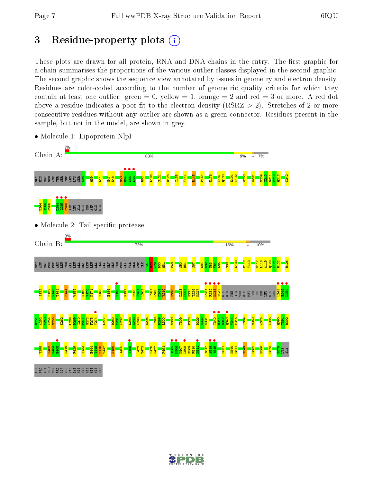# 3 Residue-property plots  $(i)$

These plots are drawn for all protein, RNA and DNA chains in the entry. The first graphic for a chain summarises the proportions of the various outlier classes displayed in the second graphic. The second graphic shows the sequence view annotated by issues in geometry and electron density. Residues are color-coded according to the number of geometric quality criteria for which they contain at least one outlier: green  $= 0$ , yellow  $= 1$ , orange  $= 2$  and red  $= 3$  or more. A red dot above a residue indicates a poor fit to the electron density (RSRZ  $> 2$ ). Stretches of 2 or more consecutive residues without any outlier are shown as a green connector. Residues present in the sample, but not in the model, are shown in grey.



• Molecule 1: Lipoprotein NlpI

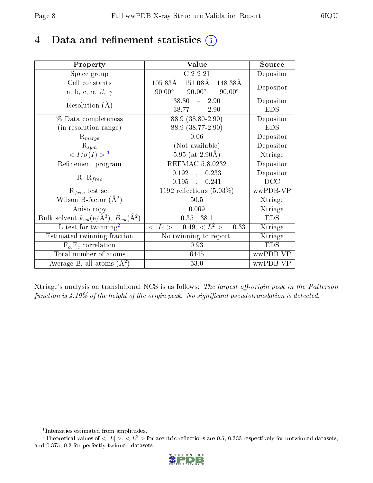# 4 Data and refinement statistics  $(i)$

| Property                                                         | Value                                               | Source     |
|------------------------------------------------------------------|-----------------------------------------------------|------------|
| Space group                                                      | C2221                                               | Depositor  |
| Cell constants                                                   | $151.08\text{\AA}$<br>$105.83\text{\AA}$<br>148.38Å | Depositor  |
| a, b, c, $\alpha$ , $\beta$ , $\gamma$                           | $90.00^\circ$<br>$90.00^{\circ}$<br>$90.00^\circ$   |            |
| Resolution $(A)$                                                 | 38.80<br>2.90<br>$\frac{1}{2}$                      | Depositor  |
|                                                                  | $38.77 - 2.90$                                      | <b>EDS</b> |
| % Data completeness                                              | $88.9(38.80-2.90)$                                  | Depositor  |
| (in resolution range)                                            | 88.9 (38.77-2.90)                                   | <b>EDS</b> |
| $R_{merge}$                                                      | 0.06                                                | Depositor  |
| $\mathrm{R}_{sym}$                                               | (Not available)                                     | Depositor  |
| $\langle I/\sigma(I) \rangle^{-1}$                               | $5.95$ (at 2.90Å)                                   | Xtriage    |
| Refinement program                                               | <b>REFMAC 5.8.0232</b>                              | Depositor  |
|                                                                  | 0.192<br>0.233<br>$\mathcal{A}^{\mathcal{A}}$       | Depositor  |
| $R, R_{free}$                                                    | $0.195$ ,<br>0.241                                  | DCC        |
| $R_{free}$ test set                                              | 1192 reflections $(5.03\%)$                         | wwPDB-VP   |
| Wilson B-factor $(A^2)$                                          | $50.5$                                              | Xtriage    |
| Anisotropy                                                       | 0.069                                               | Xtriage    |
| Bulk solvent $k_{sol}(\text{e}/\text{A}^3), B_{sol}(\text{A}^2)$ | $0.35$ , $38.1$                                     | <b>EDS</b> |
| L-test for $\mathrm{twinning}^2$                                 | $< L >$ = 0.49, $< L2$ = 0.33                       | Xtriage    |
| Estimated twinning fraction                                      | No twinning to report.                              | Xtriage    |
| $F_o, F_c$ correlation                                           | 0.93                                                | <b>EDS</b> |
| Total number of atoms                                            | 6445                                                | wwPDB-VP   |
| Average B, all atoms $(A^2)$                                     | 53.0                                                | wwPDB-VP   |

Xtriage's analysis on translational NCS is as follows: The largest off-origin peak in the Patterson function is  $4.19\%$  of the height of the origin peak. No significant pseudotranslation is detected.

<sup>&</sup>lt;sup>2</sup>Theoretical values of  $\langle |L| \rangle$ ,  $\langle L^2 \rangle$  for acentric reflections are 0.5, 0.333 respectively for untwinned datasets, and 0.375, 0.2 for perfectly twinned datasets.



<span id="page-7-1"></span><span id="page-7-0"></span><sup>1</sup> Intensities estimated from amplitudes.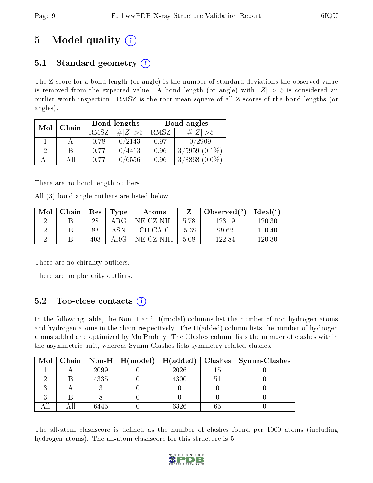# 5 Model quality  $(i)$

## 5.1 Standard geometry  $(i)$

The Z score for a bond length (or angle) is the number of standard deviations the observed value is removed from the expected value. A bond length (or angle) with  $|Z| > 5$  is considered an outlier worth inspection. RMSZ is the root-mean-square of all Z scores of the bond lengths (or angles).

| Mol | Chain |             | Bond lengths | Bond angles |                    |  |
|-----|-------|-------------|--------------|-------------|--------------------|--|
|     | RMSZ  | $\ Z\  > 5$ | RMSZ         | # Z  > 5    |                    |  |
|     |       | 0.78        | 0/2143       | 0.97        | 0/2909             |  |
| 9   | В     | 0.77        | 0/4413       | 0.96        | $3/5959(0.1\%)$    |  |
| ΑĦ  | ΑII   | 0.77        | 0/6556       | 0.96        | $3/8868$ $(0.0\%)$ |  |

There are no bond length outliers.

All (3) bond angle outliers are listed below:

| Mol | ${\rm Chain \mid Res}$ |     | $\vert$ Type | Atoms     |         | Observed $(°)$ | Ideal(°) |
|-----|------------------------|-----|--------------|-----------|---------|----------------|----------|
|     |                        | 28  | $\rm{ARG}$   | NE-CZ-NH1 | -5.78   | 123.19         | 120.30   |
|     |                        | 83  | ASN          | $CB-CA-C$ | $-5.39$ | 99.62          | 110.40   |
|     |                        | 403 | ARG          | NE-CZ-NH1 | 5.08    | 122.84         | 120.30   |

There are no chirality outliers.

There are no planarity outliers.

## $5.2$  Too-close contacts  $(i)$

In the following table, the Non-H and H(model) columns list the number of non-hydrogen atoms and hydrogen atoms in the chain respectively. The H(added) column lists the number of hydrogen atoms added and optimized by MolProbity. The Clashes column lists the number of clashes within the asymmetric unit, whereas Symm-Clashes lists symmetry related clashes.

| Mol |      |      | Chain   Non-H   H(model)   H(added)   Clashes   Symm-Clashes |
|-----|------|------|--------------------------------------------------------------|
|     | 2099 | 2026 |                                                              |
|     | 4335 | 4300 |                                                              |
|     |      |      |                                                              |
|     |      |      |                                                              |
|     | 6445 | 6326 |                                                              |

The all-atom clashscore is defined as the number of clashes found per 1000 atoms (including hydrogen atoms). The all-atom clashscore for this structure is 5.

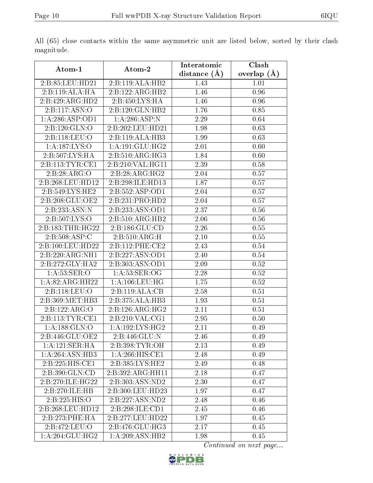| Atom-1              | Atom-2                       | Interatomic    | $\overline{\text{Cl}}$ ash |
|---------------------|------------------------------|----------------|----------------------------|
|                     |                              | distance $(A)$ | overlap $(A)$              |
| 2:B:85:LEU:HD21     | 2:B:119:ALA:HB2              | 1.43           | 1.01                       |
| 2:B:119:ALA:HA      | 2:B:122:ARG:HB2              | 1.46           | 0.96                       |
| 2:B:429:ARG:HD2     | 2:B:450:LYS:HA               | 1.46           | 0.96                       |
| 2:B:117:ASN:O       | 2:B:120:GLN:HB2              | 1.76           | 0.85                       |
| 1:A:286:ASP:OD1     | 1: A:286: ASP:N              | 2.29           | 0.64                       |
| 2:B:120:GLN:O       | 2:B:202:LEU:HD21             | 1.98           | 0.63                       |
| 2:B:118:LEU:O       | 2:B:119:ALA:HB3              | 1.99           | 0.63                       |
| 1: A: 187: LYS: O   | 1: A:191: GLU: HG2           | 2.01           | 0.60                       |
| 2:B:507:LYS:HA      | 2: B: 510: ARG: HG3          | 1.84           | 0.60                       |
| 2: B: 113: TYR: CE1 | 2:B:210:VAL:HG11             | 2.39           | 0.58                       |
| 2:B:28:ARG:O        | 2:B:28:ARG:HG2               | 2.04           | 0.57                       |
| 2:B:268:LEU:HD12    | 2:B:298:ILE:HD13             | 1.87           | 0.57                       |
| 2: B:549: LYS: HE2  | 2:B:552:ASP:OD1              | 2.04           | 0.57                       |
| 2:B:208:GLU:OE2     | 2:B:231:PRO:HD2              | 2.04           | 0.57                       |
| 2:B:233:ASN:N       | 2:B:233:ASN:OD1              | 2.37           | 0.56                       |
| 2:B:507:LYS:O       | 2:B:510:ARG:HB2              | 2.06           | 0.56                       |
| 2:B:183:THR:HG22    | 2: B: 186: GLU: CD           | 2.26           | 0.55                       |
| 2:B:508:ASP:C       | 2:B:510:ARG:H                | 2.10           | $\overline{0.55}$          |
| 2:B:100:LEU:HD22    | 2:B:112:PHE:CE2              | 2.43           | 0.54                       |
| 2:B:220:ARG:NH1     | 2:B:227:ASN:OD1              | 2.40           | 0.54                       |
| 2:B:272:GLY:HA2     | 2:B:303:ASN:OD1              | 2.09           | 0.52                       |
| 1: A:53: SER:O      | 1: A:53: SER:OG              | 2.28           | 0.52                       |
| 1:A:82:ARG:HH22     | 1: A:106:LEU:HG              | 1.75           | 0.52                       |
| 2:B:118:LEU:O       | 2:B:119:ALA:CB               | 2.58           | 0.51                       |
| 2:B:369:MET:HB3     | 2:B:375:ALA:HB3              | 1.93           | 0.51                       |
| 2:B:122:ARG:O       | $2:B:126:ARG:\overline{HG2}$ | 2.11           | 0.51                       |
| 2:B:113:TYR:CE1     | 2:B:210:VAL:CG1              | 2.95           | 0.50                       |
| 1: A: 188: GLN:O    | 1:A:192:LYS:HG2              | 2.11           | 0.49                       |
| 2:B:446:GLU:OE2     | 2:B:446:GLU:N                | 2.46           | 0.49                       |
| 1:A:121:SER:HA      | 2:B:398:TYR:OH               | 2.13           | 0.49                       |
| 1:A:264:ASN:HB3     | 1: A:266: HIS: CE1           | 2.48           | 0.49                       |
| 2:B:225:HIS:CE1     | 2:B:385:LYS:HE2              | 2.49           | 0.48                       |
| 2:B:390:GLN:CD      | 2:B:392:ARG:HH11             | 2.18           | 0.47                       |
| 2:B:270:ILE:HG22    | 2:B:303:ASN:ND2              | 2.30           | 0.47                       |
| 2:B:270:ILE:HB      | 2:B:300:LEU:HD23             | 1.97           | 0.47                       |
| 2:B:225:HIS:O       | 2:B:227:ASN:ND2              | 2.48           | 0.46                       |
| 2:B:268:LEU:HD12    | 2:B:298:ILE:CD1              | 2.45           | 0.46                       |
| 2:B:273:PHE:HA      | 2:B:277:LEU:HD22             | 1.97           | 0.45                       |
| 2:B:472:LEU:O       | 2:B:476:GLU:HG3              | 2.17           | 0.45                       |
| 1: A:204: GLU:HG2   | 1:A:209:ASN:HB2              | 1.98           | 0.45                       |

All (65) close contacts within the same asymmetric unit are listed below, sorted by their clash magnitude.

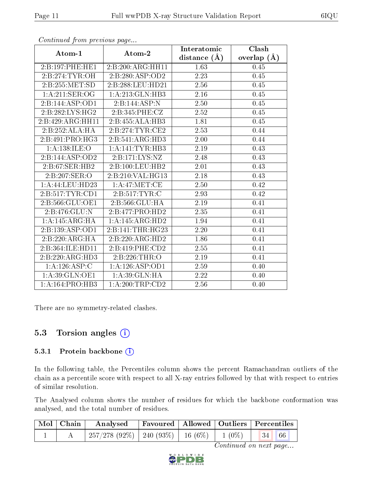|                   |                     | Interatomic       | Clash         |
|-------------------|---------------------|-------------------|---------------|
| Atom-1            | Atom-2              | distance $(A)$    | overlap $(A)$ |
| 2:B:197:PHE:HE1   | 2:B:200:ARG:HH11    | 1.63              | 0.45          |
| 2:B:274:TYR:OH    | 2:B:280:ASP:OD2     | 2.23              | 0.45          |
| 2: B: 255: MET:SD | 2:B:288:LEU:HD21    | 2.56              | 0.45          |
| 1: A:211: SER:OG  | 1:A:213:GLN:HB3     | 2.16              | 0.45          |
| 2:B:144:ASP:OD1   | 2:B:144:ASP:N       | 2.50              | 0.45          |
| 2:B:282:LYS:HG2   | 2:B:345:PHE:CZ      | 2.52              | 0.45          |
| 2:B:429:ARG:HH11  | 2:B:455:ALA:HB3     | 1.81              | 0.45          |
| 2:B:252:ALA:HA    | 2: B: 274: TYR: CE2 | 2.53              | 0.44          |
| 2:B:491:PRO:HG3   | 2:B:541:ARG:HD3     | 2.00              | 0.44          |
| 1: A: 138: ILE: O | 1:A:141:TYR:HB3     | 2.19              | 0.43          |
| 2:B:144:ASP:OD2   | 2:B:171:LYS:NZ      | 2.48              | 0.43          |
| 2: B:67: SER:HB2  | 2: B: 100: LEU: HB2 | 2.01              | 0.43          |
| 2:B:207:SER:O     | 2: B:210:VAL:HG13   | 2.18              | 0.43          |
| 1:A:44:LEU:HD23   | 1: A:47: MET:CE     | 2.50              | 0.42          |
| 2:B:517:TYR:CD1   | 2:B:517:TYR:C       | 2.93              | 0.42          |
| 2:B:566:GLU:OE1   | 2:B:566:GLU:HA      | 2.19              | 0.41          |
| 2:B:476:GLU:N     | 2:B:477:PRO:HD2     | 2.35              | 0.41          |
| 1:A:145:ARG:HA    | 1:A:145:ARG:HD2     | 1.94              | 0.41          |
| 2:B:139:ASP:OD1   | 2:B:141:THR:HG23    | 2.20              | 0.41          |
| 2:B:220:ARG:HA    | 2:B:220:ARG:HD2     | 1.86              | 0.41          |
| 2:B:364:ILE:HD11  | 2:B:419:PHE:CD2     | 2.55              | 0.41          |
| 2:B:220:ARG:HD3   | 2:B:226:THR:O       | 2.19              | 0.41          |
| 1:A:126:ASP:C     | 1: A: 126: ASP: OD1 | 2.59              | 0.40          |
| 1: A:39: GLN:OE1  | 1:A:39:GLN:HA       | $\overline{2.22}$ | 0.40          |
| 1:A:164:PRO:HB3   | 1: A:200:TRP:CD2    | 2.56              | 0.40          |

There are no symmetry-related clashes.

### 5.3 Torsion angles  $(i)$

#### 5.3.1 Protein backbone (i)

In the following table, the Percentiles column shows the percent Ramachandran outliers of the chain as a percentile score with respect to all X-ray entries followed by that with respect to entries of similar resolution.

The Analysed column shows the number of residues for which the backbone conformation was analysed, and the total number of residues.

| $\mid$ Mol $\mid$ Chain $\mid$ | Analysed                                                                             |  | Favoured   Allowed   Outliers   Percentiles |
|--------------------------------|--------------------------------------------------------------------------------------|--|---------------------------------------------|
|                                | $\frac{1}{257}/278$ (92%) $\mid$ 240 (93%) $\mid$ 16 (6%) $\mid$ 1 (0%) $\mid$ 34 66 |  |                                             |

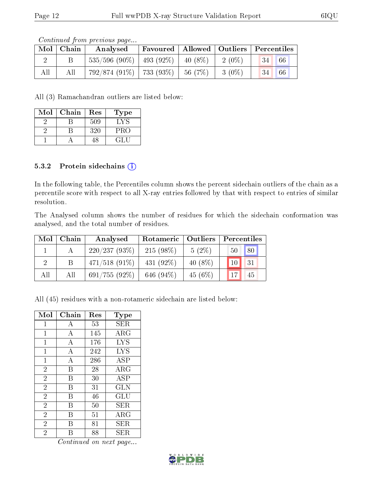|     | Contentaca from precious page |                                          |                                             |  |          |            |    |  |  |
|-----|-------------------------------|------------------------------------------|---------------------------------------------|--|----------|------------|----|--|--|
|     | $Mol$   Chain                 | Analysed                                 | Favoured   Allowed   Outliers   Percentiles |  |          |            |    |  |  |
|     |                               | $535/596$ (90\%)   493 (92\%)   40 (8\%) |                                             |  | 2 (0\%)  | $-134$ $-$ | 66 |  |  |
| All | All                           | $792/874$ (91%)   733 (93%)   56 (7%)    |                                             |  | $3(0\%)$ | 34         | 66 |  |  |

All (3) Ramachandran outliers are listed below:

| Mol | Chain | Res | Type       |
|-----|-------|-----|------------|
|     |       | 509 | $\sqrt{ }$ |
|     |       | 320 | PRO        |
|     |       | 1×  | GL H       |

#### 5.3.2 Protein sidechains (i)

In the following table, the Percentiles column shows the percent sidechain outliers of the chain as a percentile score with respect to all X-ray entries followed by that with respect to entries of similar resolution.

The Analysed column shows the number of residues for which the sidechain conformation was analysed, and the total number of residues.

| Mol | Chain | Analysed         | Rotameric   Outliers |            | Percentiles           |
|-----|-------|------------------|----------------------|------------|-----------------------|
|     |       | 220/237(93%)     | $215(98\%)$          | $5(2\%)$   | $\sqrt{80}$<br>$50-1$ |
|     |       | $471/518$ (91\%) | $431(92\%)$          | 40 $(8\%)$ | 131<br>10             |
| All | All   | $691/755(92\%)$  | 646 $(94\%)$         | 45(6%)     | 45                    |

All (45) residues with a non-rotameric sidechain are listed below:

| Mol            | Chain | Res | Type        |
|----------------|-------|-----|-------------|
| 1              | А     | 53  | SER         |
| $\mathbf 1$    | A     | 145 | ARG         |
| 1              | А     | 176 | <b>LYS</b>  |
| 1              | A     | 242 | <b>LYS</b>  |
| $\overline{1}$ | A     | 286 | ASP         |
| $\overline{2}$ | B     | 28  | $\rm{ARG}$  |
| $\overline{2}$ | В     | 30  | ASP         |
| $\overline{2}$ | В     | 31  | <b>GLN</b>  |
| $\overline{2}$ | В     | 46  | GLU         |
| $\overline{2}$ | В     | 50  | SER.        |
| $\overline{2}$ | R     | 51  | ARG         |
| $\overline{2}$ | В     | 81  | SER         |
| $\overline{2}$ | R     | 88  | ${\rm SER}$ |

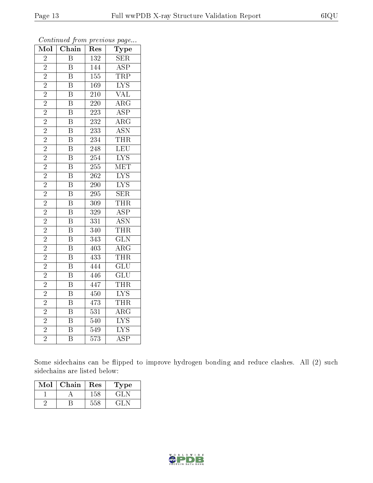| Mol                      | Chain                   | $\operatorname{Res}% \left( \mathcal{N}\right) \equiv\operatorname{Res}(\mathcal{N}_{0})\left( \mathcal{N}_{0}\right) ^{2}$ | Type                      |
|--------------------------|-------------------------|-----------------------------------------------------------------------------------------------------------------------------|---------------------------|
| $\overline{2}$           | $\overline{\mathrm{B}}$ | $\overline{132}$                                                                                                            | $\overline{\text{SER}}$   |
| $\overline{2}$           | $\boldsymbol{B}$        | 144                                                                                                                         | $\overline{\text{ASP}}$   |
| $\overline{2}$           | $\overline{\mathrm{B}}$ | 155                                                                                                                         | <b>TRP</b>                |
| $\overline{2}$           | $\overline{\mathrm{B}}$ | 169                                                                                                                         | $\overline{\text{LYS}}$   |
| $\overline{2}$           | $\overline{\mathrm{B}}$ | $\overline{210}$                                                                                                            | $\overline{\text{VAL}}$   |
| $\overline{2}$           | $\overline{\mathrm{B}}$ | 220                                                                                                                         | $\rm{ARG}$                |
| $\overline{2}$           | $\overline{\mathrm{B}}$ | 223                                                                                                                         | $\overline{\text{ASP}}$   |
| $\overline{2}$           | $\overline{\mathrm{B}}$ | 232                                                                                                                         | $\overline{\rm ARG}$      |
| $\overline{2}$           | $\overline{\mathrm{B}}$ | 233                                                                                                                         | $\overline{\text{ASN}}$   |
| $\overline{2}$           | $\overline{\mathrm{B}}$ | 234                                                                                                                         | <b>THR</b>                |
| $\frac{2}{2}$            | $\overline{\mathrm{B}}$ | 248                                                                                                                         | LEU                       |
|                          | $\overline{\mathrm{B}}$ | 254                                                                                                                         | $\overline{\text{LYS}}$   |
| $\overline{2}$           | $\overline{\mathrm{B}}$ | $\overline{255}$                                                                                                            | <b>MET</b>                |
| $\overline{2}$           | $\overline{\mathrm{B}}$ | $2\overline{62}$                                                                                                            | $\overline{\rm LYS}$      |
| $\frac{\overline{2}}{2}$ | $\overline{\mathrm{B}}$ | $\overline{290}$                                                                                                            | $\overline{\text{LYS}}$   |
|                          | $\overline{\mathrm{B}}$ | 295                                                                                                                         | $\overline{\text{SER}}$   |
| $\overline{2}$           | $\overline{\mathrm{B}}$ | $\overline{309}$                                                                                                            | <b>THR</b>                |
| $\overline{2}$           | $\overline{\mathrm{B}}$ | 329                                                                                                                         | $\overline{\text{ASP}}$   |
| $\overline{2}$           | $\overline{\mathrm{B}}$ | $\overline{331}$                                                                                                            | $\overline{\mathrm{ASN}}$ |
| $\overline{2}$           | $\overline{\mathrm{B}}$ | 340                                                                                                                         | <b>THR</b>                |
| $\overline{2}$           | $\overline{\mathrm{B}}$ | 343                                                                                                                         | $\overline{\text{GLN}}$   |
| $\overline{2}$           | $\overline{\mathrm{B}}$ | $\overline{403}$                                                                                                            | $\bar{\rm{ARG}}$          |
| $\overline{2}$           | $\overline{\mathrm{B}}$ | 433                                                                                                                         | THR                       |
| $\overline{2}$           | $\overline{\mathrm{B}}$ | 444                                                                                                                         | $\overline{\text{GLU}}$   |
| $\overline{2}$           | $\overline{\mathrm{B}}$ | 446                                                                                                                         | $\overline{\text{GLU}}$   |
| $\overline{2}$           | $\overline{\mathrm{B}}$ | 447                                                                                                                         | <b>THR</b>                |
| $\overline{2}$           | $\overline{\mathrm{B}}$ | 450                                                                                                                         | $\overline{\text{LYS}}$   |
| $\overline{2}$           | $\overline{\mathrm{B}}$ | 473                                                                                                                         | <b>THR</b>                |
| $\overline{2}$           | $\overline{\mathrm{B}}$ | $\overline{531}$                                                                                                            | $\overline{\rm{ARG}}$     |
| $\overline{2}$           | $\overline{\mathrm{B}}$ | 540                                                                                                                         | $\overline{\rm LYS}$      |
| $\overline{2}$           | $\overline{\mathrm{B}}$ | 549                                                                                                                         | $\overline{\text{LYS}}$   |
| $\overline{2}$           | $\overline{\mathrm{B}}$ | $\overline{573}$                                                                                                            | $\overline{\text{ASP}}$   |

Some sidechains can be flipped to improve hydrogen bonding and reduce clashes. All (2) such sidechains are listed below:

| $\operatorname{Mol}$ | Chain | Res | Type |
|----------------------|-------|-----|------|
|                      |       | 158 | GLN  |
|                      |       | 558 | EL N |

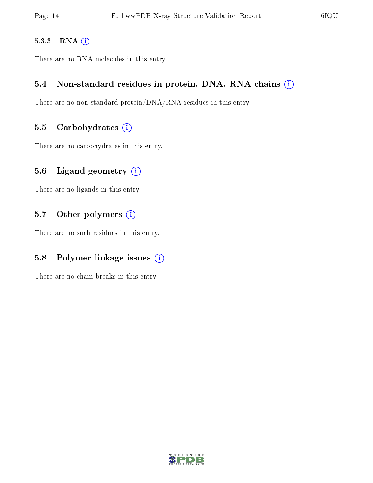#### 5.3.3 RNA [O](https://www.wwpdb.org/validation/2017/XrayValidationReportHelp#rna)i

There are no RNA molecules in this entry.

### 5.4 Non-standard residues in protein, DNA, RNA chains (i)

There are no non-standard protein/DNA/RNA residues in this entry.

#### 5.5 Carbohydrates  $(i)$

There are no carbohydrates in this entry.

### 5.6 Ligand geometry (i)

There are no ligands in this entry.

### 5.7 [O](https://www.wwpdb.org/validation/2017/XrayValidationReportHelp#nonstandard_residues_and_ligands)ther polymers (i)

There are no such residues in this entry.

### 5.8 Polymer linkage issues  $(i)$

There are no chain breaks in this entry.

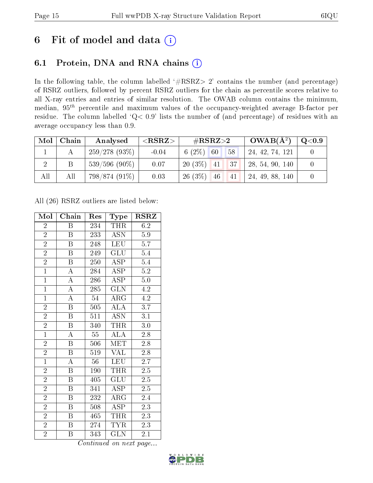# 6 Fit of model and data  $(i)$

## 6.1 Protein, DNA and RNA chains  $(i)$

In the following table, the column labelled  $#RSRZ> 2'$  contains the number (and percentage) of RSRZ outliers, followed by percent RSRZ outliers for the chain as percentile scores relative to all X-ray entries and entries of similar resolution. The OWAB column contains the minimum, median,  $95<sup>th</sup>$  percentile and maximum values of the occupancy-weighted average B-factor per residue. The column labelled ' $Q< 0.9$ ' lists the number of (and percentage) of residues with an average occupancy less than 0.9.

| Mol | Chain | Analysed        | $<$ RSRZ $>$ | $\#\text{RSRZ}\text{>2}$ |  | $OWAB(A^2)$     | $\rm Q\textcolor{black}{<}0.9$ |
|-----|-------|-----------------|--------------|--------------------------|--|-----------------|--------------------------------|
|     |       | 259/278(93%)    | $-0.04$      | 6 $(2\%)$ 60<br>58       |  | 24, 42, 74, 121 |                                |
|     |       | $539/596(90\%)$ | 0.07         | $20(3\%)$ 41<br> 37      |  | 28, 54, 90, 140 |                                |
| All | All   | 798/874 (91%)   | 0.03         | 26(3%)<br>46<br>41       |  | 24, 49, 88, 140 |                                |

All (26) RSRZ outliers are listed below:

| Mol            | Chain                   | Res | Type                    | <b>RSRZ</b>      |
|----------------|-------------------------|-----|-------------------------|------------------|
| $\overline{2}$ | Β                       | 234 | <b>THR</b>              | 6.2              |
| $\overline{2}$ | B                       | 233 | ASN                     | 5.9              |
| $\overline{2}$ | $\boldsymbol{B}$        | 248 | LEU                     | 5.7              |
| $\overline{2}$ | B                       | 249 | GLU                     | 5.4              |
| $\overline{2}$ | $\overline{\mathrm{B}}$ | 250 | $\overline{\text{ASP}}$ | 5.4              |
| $\overline{1}$ | $\overline{\rm A}$      | 284 | $\overline{\text{ASP}}$ | $\overline{5.2}$ |
| $\overline{1}$ | $\overline{\rm A}$      | 286 | <b>ASP</b>              | 5.0              |
| $\overline{1}$ | $\overline{\rm A}$      | 285 | GLN                     | 4.2              |
| $\overline{1}$ | $\overline{\rm A}$      | 54  | $\rm{ARG}$              | 4.2              |
| $\overline{2}$ | $\overline{\mathrm{B}}$ | 505 | $\overline{\rm ALA}$    | $\overline{3.7}$ |
| $\overline{2}$ | $\overline{\mathrm{B}}$ | 511 | <b>ASN</b>              | 3.1              |
| $\overline{2}$ | $\overline{\mathrm{B}}$ | 340 | <b>THR</b>              | $3.0\,$          |
| $\overline{1}$ | $\overline{\rm A}$      | 55  | $\overline{\rm ALA}$    | 2.8              |
| $\overline{2}$ | $\boldsymbol{B}$        | 506 | $\textrm{MET}$          | 2.8              |
| $\overline{2}$ | $\overline{\mathrm{B}}$ | 519 | <b>VAL</b>              | $\overline{2.8}$ |
| $\mathbf{1}$   | $\mathbf{A}$            | 56  | <b>LEU</b>              | $2.\overline{7}$ |
| $\overline{2}$ | $\overline{\mathrm{B}}$ | 190 | THR                     | $\overline{2.5}$ |
| $\overline{2}$ | Β                       | 405 | GLU                     | 2.5              |
| $\overline{2}$ | $\boldsymbol{B}$        | 341 | <b>ASP</b>              | $2.5\,$          |
| $\overline{2}$ | B                       | 232 | ${\rm ARG}$             | 2.4              |
| $\overline{2}$ | $\overline{B}$          | 508 | <b>ASP</b>              | 2.3              |
| $\overline{2}$ | $\boldsymbol{B}$        | 465 | THR                     | 2.3              |
| $\overline{2}$ | B                       | 274 | <b>TYR</b>              | 2.3              |
| $\overline{2}$ | B                       | 343 | <b>GLN</b>              | 2.1              |